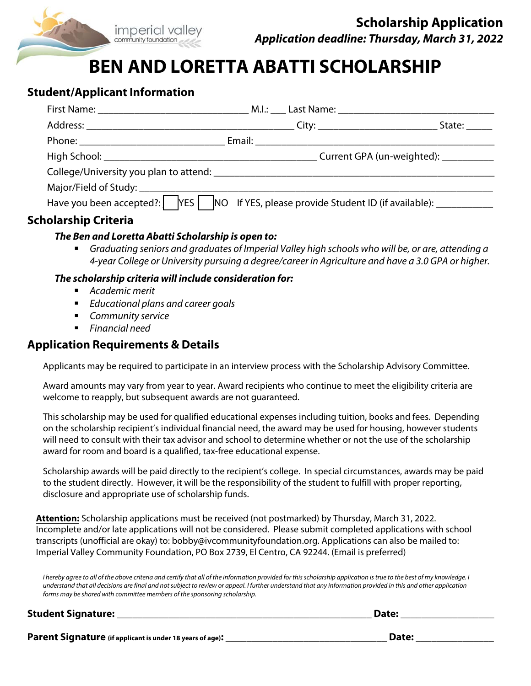

# **BEN AND LORETTA ABATTI SCHOLARSHIP**

## **Student/Applicant Information**

|                             |                                                                                                     | State:                                 |
|-----------------------------|-----------------------------------------------------------------------------------------------------|----------------------------------------|
|                             |                                                                                                     |                                        |
|                             |                                                                                                     | Current GPA (un-weighted): ___________ |
|                             |                                                                                                     |                                        |
|                             |                                                                                                     |                                        |
|                             | Have you been accepted?:   YES   NO If YES, please provide Student ID (if available): _____________ |                                        |
| <b>Scholarship Criteria</b> |                                                                                                     |                                        |

#### **The Ben and Loretta Abatti Scholarship is open to:**

 Graduating seniors and graduates of Imperial Valley high schools who will be, or are, attending a 4-year College or University pursuing a degree/career in Agriculture and have a 3.0 GPA or higher.

#### **The scholarship criteria will include consideration for:**

- Academic merit
- Educational plans and career goals
- **Community service**
- **Financial need**

### **Application Requirements & Details**

Applicants may be required to participate in an interview process with the Scholarship Advisory Committee.

Award amounts may vary from year to year. Award recipients who continue to meet the eligibility criteria are welcome to reapply, but subsequent awards are not guaranteed.

This scholarship may be used for qualified educational expenses including tuition, books and fees. Depending on the scholarship recipient's individual financial need, the award may be used for housing, however students will need to consult with their tax advisor and school to determine whether or not the use of the scholarship award for room and board is a qualified, tax-free educational expense.

Scholarship awards will be paid directly to the recipient's college. In special circumstances, awards may be paid to the student directly. However, it will be the responsibility of the student to fulfill with proper reporting, disclosure and appropriate use of scholarship funds.

**Attention:** Scholarship applications must be received (not postmarked) by Thursday, March 31, 2022. Incomplete and/or late applications will not be considered. Please submit completed applications with school transcripts (unofficial are okay) to: bobby@ivcommunityfoundation.org. Applications can also be mailed to: Imperial Valley Community Foundation, PO Box 2739, El Centro, CA 92244. (Email is preferred)

I hereby agree to all of the above criteria and certify that all of the information provided for this scholarship application is true to the best of my knowledge. I understand that all decisions are final and not subject to review or appeal. I further understand that any information provided in this and other application forms may be shared with committee members of the sponsoring scholarship.

#### **Student Signature: \_\_\_\_\_\_\_\_\_\_\_\_\_\_\_\_\_\_\_\_\_\_\_\_\_\_\_\_\_\_\_\_\_\_\_\_\_\_\_\_\_\_\_\_\_\_\_\_\_ Date: \_\_\_\_\_\_\_\_\_\_\_\_\_\_\_\_\_\_**

**Parent Signature (if applicant is under 18 years of age): \_\_\_\_\_\_\_\_\_\_\_\_\_\_\_\_\_\_\_\_\_\_\_\_\_\_\_\_\_\_\_ Date: \_\_\_\_\_\_\_\_\_\_\_\_\_\_\_**